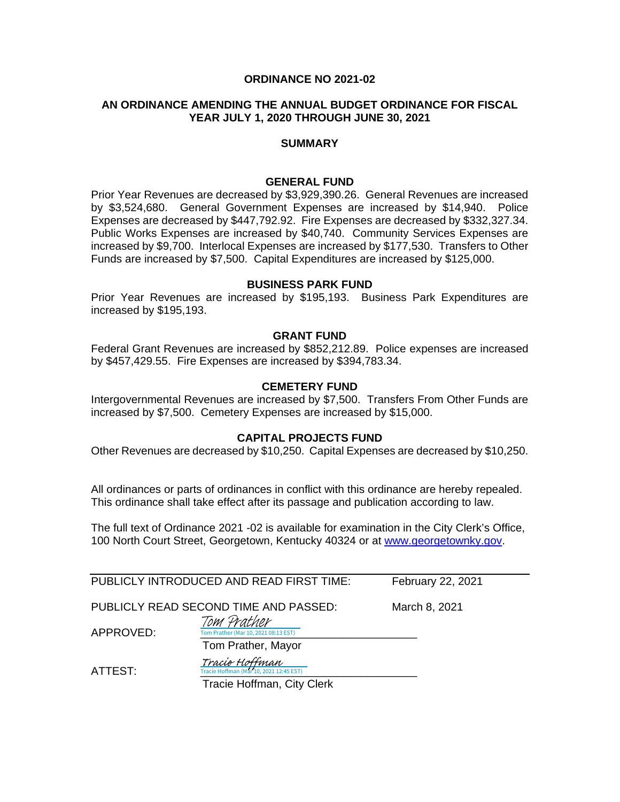#### **ORDINANCE NO 2021-02**

#### **AN ORDINANCE AMENDING THE ANNUAL BUDGET ORDINANCE FOR FISCAL YEAR JULY 1, 2020 THROUGH JUNE 30, 2021**

#### **SUMMARY**

#### **GENERAL FUND**

Prior Year Revenues are decreased by \$3,929,390.26. General Revenues are increased by \$3,524,680. General Government Expenses are increased by \$14,940. Police Expenses are decreased by \$447,792.92. Fire Expenses are decreased by \$332,327.34. Public Works Expenses are increased by \$40,740. Community Services Expenses are increased by \$9,700. Interlocal Expenses are increased by \$177,530. Transfers to Other Funds are increased by \$7,500. Capital Expenditures are increased by \$125,000.

#### **BUSINESS PARK FUND**

Prior Year Revenues are increased by \$195,193. Business Park Expenditures are increased by \$195,193.

#### **GRANT FUND**

Federal Grant Revenues are increased by \$852,212.89. Police expenses are increased by \$457,429.55. Fire Expenses are increased by \$394,783.34.

#### **CEMETERY FUND**

Intergovernmental Revenues are increased by \$7,500. Transfers From Other Funds are increased by \$7,500. Cemetery Expenses are increased by \$15,000.

#### **CAPITAL PROJECTS FUND**

Other Revenues are decreased by \$10,250. Capital Expenses are decreased by \$10,250.

All ordinances or parts of ordinances in conflict with this ordinance are hereby repealed. This ordinance shall take effect after its passage and publication according to law.

The full text of Ordinance 2021 -02 is available for examination in the City Clerk's Office, 100 North Court Street, Georgetown, Kentucky 40324 or at [www.georgetownky.gov.](http://www.georgetownky.gov/)

|           | PUBLICLY INTRODUCED AND READ FIRST TIME:                         | February 22, 2021 |
|-----------|------------------------------------------------------------------|-------------------|
|           | PUBLICLY READ SECOND TIME AND PASSED:                            | March 8, 2021     |
| APPROVED: | Tom Prather<br>Tom Prather (Mar 10, 2021 08:13 EST)              |                   |
|           | Tom Prather, Mayor                                               |                   |
| ATTEST:   | <i>Tracie Hoffman</i><br>Tracie Hoffman (Mar 10, 2021 12:45 EST) |                   |
|           | Tracia Hoffman, City Clark                                       |                   |

Tracie Hoffman, City Clerk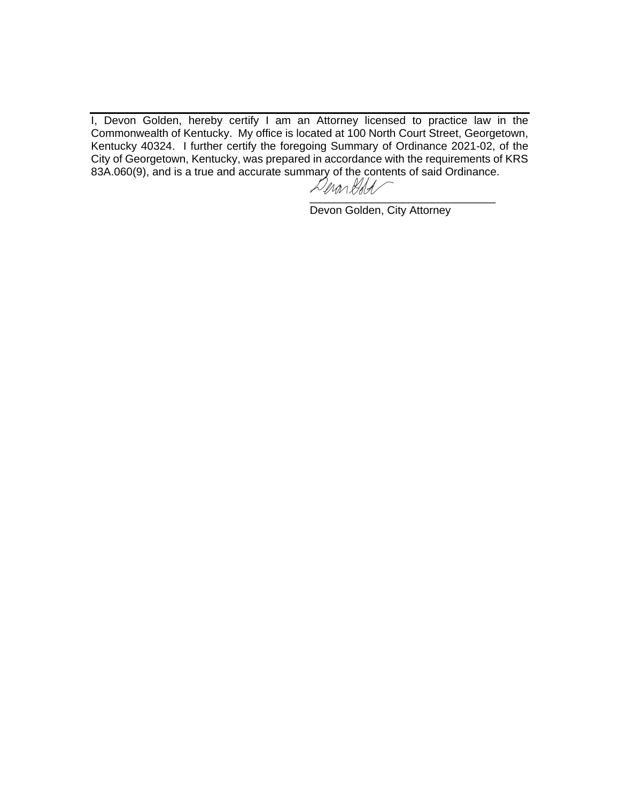I, Devon Golden, hereby certify I am an Attorney licensed to practice law in the Commonwealth of Kentucky. My office is located at 100 North Court Street, Georgetown, Kentucky 40324. I further certify the foregoing Summary of Ordinance 2021-02, of the City of Georgetown, Kentucky, was prepared in accordance with the requirements of KRS 83A.060(9), and is a true and accurate summary of the contents of said Ordinance.

[\\_\\_\\_\\_\\_\\_\\_\\_\\_\\_\\_\\_\\_\\_\\_\\_\\_\\_\\_\\_\\_\\_\\_\\_\\_\\_\\_\\_\\_\\_](https://adobefreeuserschannel.na1.documents.adobe.com/verifier?tx=CBJCHBCAABAAOjUsLnjHoeYMimhQN4YeZUE0xL20QeVY)

Devon Golden, City Attorney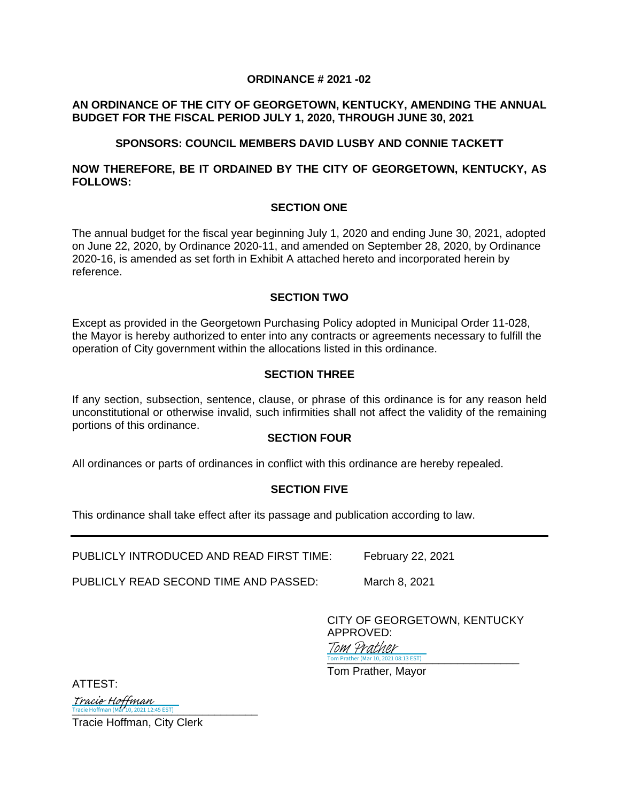## **ORDINANCE # 2021 -02**

# **AN ORDINANCE OF THE CITY OF GEORGETOWN, KENTUCKY, AMENDING THE ANNUAL BUDGET FOR THE FISCAL PERIOD JULY 1, 2020, THROUGH JUNE 30, 2021**

# **SPONSORS: COUNCIL MEMBERS DAVID LUSBY AND CONNIE TACKETT**

# **NOW THEREFORE, BE IT ORDAINED BY THE CITY OF GEORGETOWN, KENTUCKY, AS FOLLOWS:**

# **SECTION ONE**

The annual budget for the fiscal year beginning July 1, 2020 and ending June 30, 2021, adopted on June 22, 2020, by Ordinance 2020-11, and amended on September 28, 2020, by Ordinance 2020-16, is amended as set forth in Exhibit A attached hereto and incorporated herein by reference.

#### **SECTION TWO**

Except as provided in the Georgetown Purchasing Policy adopted in Municipal Order 11-028, the Mayor is hereby authorized to enter into any contracts or agreements necessary to fulfill the operation of City government within the allocations listed in this ordinance.

# **SECTION THREE**

If any section, subsection, sentence, clause, or phrase of this ordinance is for any reason held unconstitutional or otherwise invalid, such infirmities shall not affect the validity of the remaining portions of this ordinance.

#### **SECTION FOUR**

All ordinances or parts of ordinances in conflict with this ordinance are hereby repealed.

# **SECTION FIVE**

This ordinance shall take effect after its passage and publication according to law.

PUBLICLY INTRODUCED AND READ FIRST TIME: February 22, 2021

PUBLICLY READ SECOND TIME AND PASSED: March 8, 2021

CITY OF GEORGETOWN, KENTUCKY APPROVED:

Tom Prather (Mar 10, 2021 08:13 EST) Tom Prather

Tom Prather, Mayor

ATTEST:

Tracie Hoffman<br>Tracie Hoffman (Mar 10, 2021 12:45 EST)

Tracie Hoffman, City Clerk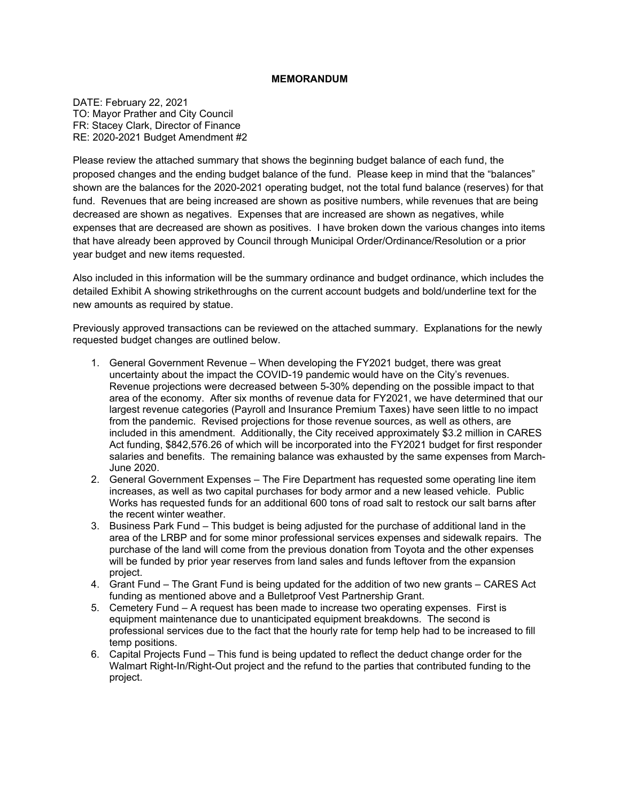#### **MEMORANDUM**

DATE: February 22, 2021 TO: Mayor Prather and City Council FR: Stacey Clark, Director of Finance RE: 2020-2021 Budget Amendment #2

Please review the attached summary that shows the beginning budget balance of each fund, the proposed changes and the ending budget balance of the fund. Please keep in mind that the "balances" shown are the balances for the 2020-2021 operating budget, not the total fund balance (reserves) for that fund. Revenues that are being increased are shown as positive numbers, while revenues that are being decreased are shown as negatives. Expenses that are increased are shown as negatives, while expenses that are decreased are shown as positives. I have broken down the various changes into items that have already been approved by Council through Municipal Order/Ordinance/Resolution or a prior year budget and new items requested.

Also included in this information will be the summary ordinance and budget ordinance, which includes the detailed Exhibit A showing strikethroughs on the current account budgets and bold/underline text for the new amounts as required by statue.

Previously approved transactions can be reviewed on the attached summary. Explanations for the newly requested budget changes are outlined below.

- 1. General Government Revenue When developing the FY2021 budget, there was great uncertainty about the impact the COVID-19 pandemic would have on the City's revenues. Revenue projections were decreased between 5-30% depending on the possible impact to that area of the economy. After six months of revenue data for FY2021, we have determined that our largest revenue categories (Payroll and Insurance Premium Taxes) have seen little to no impact from the pandemic. Revised projections for those revenue sources, as well as others, are included in this amendment. Additionally, the City received approximately \$3.2 million in CARES Act funding, \$842,576.26 of which will be incorporated into the FY2021 budget for first responder salaries and benefits. The remaining balance was exhausted by the same expenses from March-June 2020.
- 2. General Government Expenses The Fire Department has requested some operating line item increases, as well as two capital purchases for body armor and a new leased vehicle. Public Works has requested funds for an additional 600 tons of road salt to restock our salt barns after the recent winter weather.
- 3. Business Park Fund This budget is being adjusted for the purchase of additional land in the area of the LRBP and for some minor professional services expenses and sidewalk repairs. The purchase of the land will come from the previous donation from Toyota and the other expenses will be funded by prior year reserves from land sales and funds leftover from the expansion project.
- 4. Grant Fund The Grant Fund is being updated for the addition of two new grants CARES Act funding as mentioned above and a Bulletproof Vest Partnership Grant.
- 5. Cemetery Fund A request has been made to increase two operating expenses. First is equipment maintenance due to unanticipated equipment breakdowns. The second is professional services due to the fact that the hourly rate for temp help had to be increased to fill temp positions.
- 6. Capital Projects Fund This fund is being updated to reflect the deduct change order for the Walmart Right-In/Right-Out project and the refund to the parties that contributed funding to the project.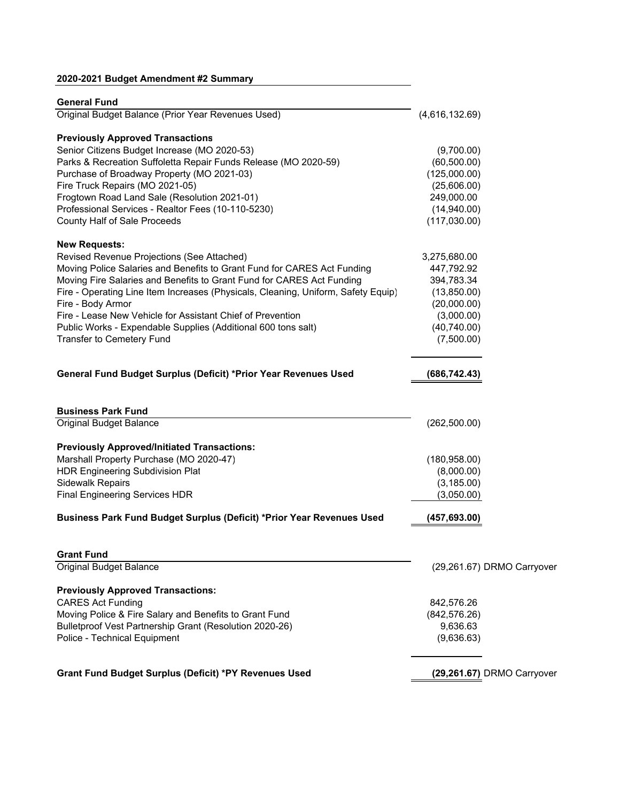# **2020-2021 Budget Amendment #2 Summary**

| <b>General Fund</b>                                                               |                |                            |
|-----------------------------------------------------------------------------------|----------------|----------------------------|
| Original Budget Balance (Prior Year Revenues Used)                                | (4,616,132.69) |                            |
| <b>Previously Approved Transactions</b>                                           |                |                            |
| Senior Citizens Budget Increase (MO 2020-53)                                      | (9,700.00)     |                            |
| Parks & Recreation Suffoletta Repair Funds Release (MO 2020-59)                   | (60, 500.00)   |                            |
| Purchase of Broadway Property (MO 2021-03)                                        | (125,000.00)   |                            |
| Fire Truck Repairs (MO 2021-05)                                                   | (25,606.00)    |                            |
| Frogtown Road Land Sale (Resolution 2021-01)                                      | 249,000.00     |                            |
| Professional Services - Realtor Fees (10-110-5230)                                | (14,940.00)    |                            |
| County Half of Sale Proceeds                                                      | (117,030.00)   |                            |
| <b>New Requests:</b>                                                              |                |                            |
| Revised Revenue Projections (See Attached)                                        | 3,275,680.00   |                            |
| Moving Police Salaries and Benefits to Grant Fund for CARES Act Funding           | 447,792.92     |                            |
| Moving Fire Salaries and Benefits to Grant Fund for CARES Act Funding             | 394,783.34     |                            |
| Fire - Operating Line Item Increases (Physicals, Cleaning, Uniform, Safety Equip) | (13,850.00)    |                            |
| Fire - Body Armor                                                                 | (20,000.00)    |                            |
| Fire - Lease New Vehicle for Assistant Chief of Prevention                        | (3,000.00)     |                            |
| Public Works - Expendable Supplies (Additional 600 tons salt)                     | (40,740.00)    |                            |
| <b>Transfer to Cemetery Fund</b>                                                  | (7,500.00)     |                            |
| General Fund Budget Surplus (Deficit) *Prior Year Revenues Used                   | (686, 742.43)  |                            |
| <b>Business Park Fund</b>                                                         |                |                            |
| <b>Original Budget Balance</b>                                                    | (262, 500.00)  |                            |
| <b>Previously Approved/Initiated Transactions:</b>                                |                |                            |
| Marshall Property Purchase (MO 2020-47)                                           | (180, 958.00)  |                            |
| <b>HDR Engineering Subdivision Plat</b>                                           | (8,000.00)     |                            |
| <b>Sidewalk Repairs</b>                                                           | (3, 185.00)    |                            |
| <b>Final Engineering Services HDR</b>                                             | (3,050.00)     |                            |
| Business Park Fund Budget Surplus (Deficit) *Prior Year Revenues Used             | (457, 693.00)  |                            |
| <b>Grant Fund</b>                                                                 |                |                            |
| Original Budget Balance                                                           |                | (29,261.67) DRMO Carryover |
| <b>Previously Approved Transactions:</b>                                          |                |                            |
| <b>CARES Act Funding</b>                                                          | 842,576.26     |                            |
| Moving Police & Fire Salary and Benefits to Grant Fund                            | (842, 576.26)  |                            |
| Bulletproof Vest Partnership Grant (Resolution 2020-26)                           | 9,636.63       |                            |
| Police - Technical Equipment                                                      | (9,636.63)     |                            |
| Grant Fund Budget Surplus (Deficit) *PY Revenues Used                             |                | (29,261.67) DRMO Carryover |
|                                                                                   |                |                            |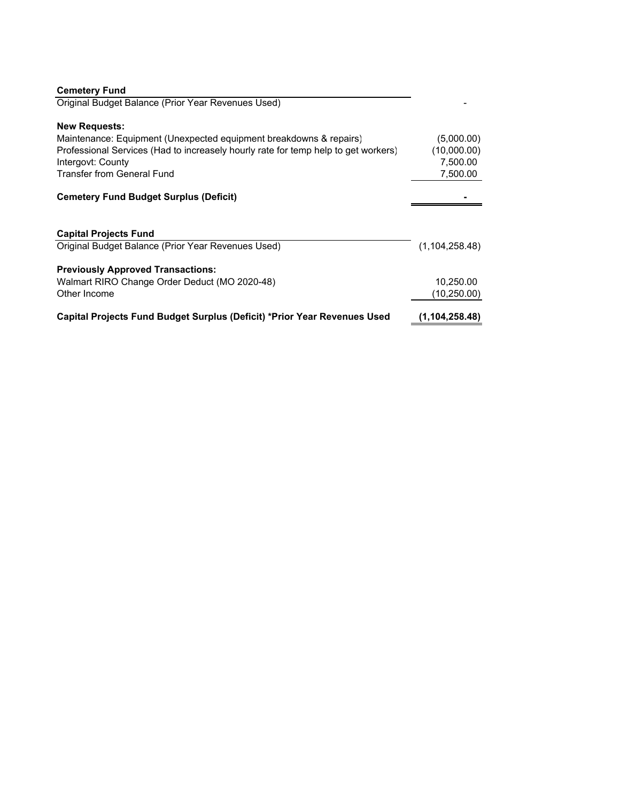| <b>Cemetery Fund</b>                                                               |                  |
|------------------------------------------------------------------------------------|------------------|
| Original Budget Balance (Prior Year Revenues Used)                                 |                  |
| <b>New Requests:</b>                                                               |                  |
| Maintenance: Equipment (Unexpected equipment breakdowns & repairs)                 | (5,000.00)       |
| Professional Services (Had to increasely hourly rate for temp help to get workers) | (10,000.00)      |
| Intergovt: County                                                                  | 7,500.00         |
| <b>Transfer from General Fund</b>                                                  | 7,500.00         |
| <b>Cemetery Fund Budget Surplus (Deficit)</b>                                      |                  |
| <b>Capital Projects Fund</b>                                                       |                  |
| Original Budget Balance (Prior Year Revenues Used)                                 | (1, 104, 258.48) |
| <b>Previously Approved Transactions:</b>                                           |                  |
| Walmart RIRO Change Order Deduct (MO 2020-48)                                      | 10,250.00        |
| Other Income                                                                       | (10,250.00)      |
| Capital Projects Fund Budget Surplus (Deficit) *Prior Year Revenues Used           | (1, 104, 258.48) |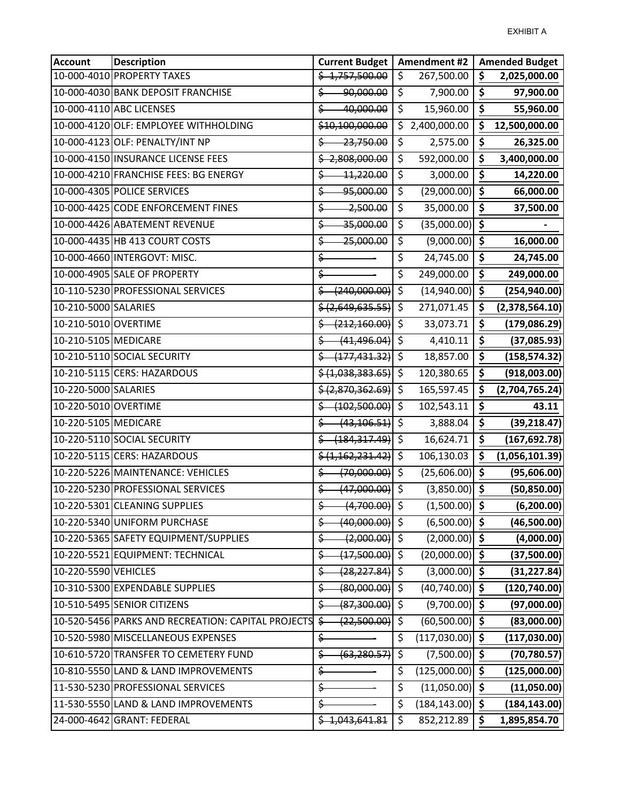| <b>Account</b>       | <b>Description</b>                                 | <b>Current Budget</b>                 |                          | Amendment #2       |                                 | <b>Amended Budget</b> |
|----------------------|----------------------------------------------------|---------------------------------------|--------------------------|--------------------|---------------------------------|-----------------------|
|                      | 10-000-4010 PROPERTY TAXES                         | \$4,757,500.00                        | \$                       | 267,500.00         | \$                              | 2,025,000.00          |
|                      | 10-000-4030 BANK DEPOSIT FRANCHISE                 | 90,000.00<br>\$                       | \$                       | 7,900.00           | \$                              | 97,900.00             |
|                      | 10-000-4110 ABC LICENSES                           | \$<br>40,000.00                       | \$                       | 15,960.00          | \$                              | 55,960.00             |
|                      | 10-000-4120 OLF: EMPLOYEE WITHHOLDING              | \$10,100,000.00                       |                          | \$2,400,000.00     | $\overline{\boldsymbol{s}}$     | 12,500,000.00         |
|                      | 10-000-4123 OLF: PENALTY/INT NP                    | 23,750.00<br>Ş.                       | \$                       | 2,575.00           | \$                              | 26,325.00             |
|                      | 10-000-4150 INSURANCE LICENSE FEES                 | $\frac{2,808,000.00}{2}$              | \$                       | 592,000.00         | \$                              | 3,400,000.00          |
|                      | 10-000-4210 FRANCHISE FEES: BG ENERGY              | 11,220.00<br>\$                       | $\overline{\mathcal{S}}$ | 3,000.00           | \$                              | 14,220.00             |
|                      | 10-000-4305 POLICE SERVICES                        | \$<br>95,000.00                       | \$                       | $(29,000.00)$ \$   |                                 | 66,000.00             |
|                      | 10-000-4425 CODE ENFORCEMENT FINES                 | $-2,500.00$<br>\$                     | \$                       | 35,000.00          | \$                              | 37,500.00             |
|                      | 10-000-4426 ABATEMENT REVENUE                      | $\frac{1}{35,000.00}$                 | \$                       | $(35,000.00)$ \$   |                                 |                       |
|                      | 10-000-4435 HB 413 COURT COSTS                     | 25,000.00<br>\$                       | \$                       | $(9,000.00)$ \$    |                                 | 16,000.00             |
|                      | 10-000-4660 INTERGOVT: MISC.                       | \$                                    | \$                       | 24,745.00          | $\zeta$                         | 24,745.00             |
|                      | 10-000-4905 SALE OF PROPERTY                       | \$                                    | \$                       | 249,000.00         | \$                              | 249,000.00            |
|                      | 10-110-5230 PROFESSIONAL SERVICES                  | (240,000.00)                          | \$                       | $(14,940.00)$ \$   |                                 | (254, 940.00)         |
| 10-210-5000 SALARIES |                                                    | \$ (2,649,635.55)                     | \$                       | 271,071.45         | \$                              | (2,378,564.10)        |
| 10-210-5010 OVERTIME |                                                    | (212, 160.00)                         | \$                       | 33,073.71          | \$                              | (179, 086.29)         |
| 10-210-5105 MEDICARE |                                                    | $(41, 496.04)$ \$<br>\$               |                          | 4,410.11           | \$                              | (37,085.93)           |
|                      | 10-210-5110 SOCIAL SECURITY                        | $\frac{1}{2}$ $(177, 431.32)$         | $\overline{\mathcal{S}}$ | 18,857.00          | \$                              | (158, 574.32)         |
|                      | 10-210-5115 CERS: HAZARDOUS                        | \$(1,038,383.65)]                     | \$                       | 120,380.65         | \$                              | (918,003.00)          |
| 10-220-5000 SALARIES |                                                    | \$ (2,870,362.69)                     | \$                       | 165,597.45         | \$                              | (2,704,765.24)        |
| 10-220-5010 OVERTIME |                                                    | (102,500.00)                          | \$                       | 102,543.11         | $\overline{\boldsymbol{\zeta}}$ | 43.11                 |
| 10-220-5105 MEDICARE |                                                    | (43, 106.51)<br>\$                    | \$                       | 3,888.04           | \$                              | (39, 218.47)          |
|                      | 10-220-5110 SOCIAL SECURITY                        | <del>(184,317.49)</del> \$            |                          | 16,624.71          | \$                              | (167, 692.78)         |
|                      | 10-220-5115 CERS: HAZARDOUS                        | \$(1, 162, 231.42)]                   | \$                       | 106,130.03         | \$                              | (1,056,101.39)        |
|                      | 10-220-5226 MAINTENANCE: VEHICLES                  | (70,000.00)<br>\$                     | $\zeta$                  | $(25,606.00)$ \$   |                                 | (95,606.00)           |
|                      | 10-220-5230 PROFESSIONAL SERVICES                  | (47,000.00)<br>\$                     | $\zeta$                  | $(3,850.00)$ \$    |                                 | (50, 850.00)          |
|                      | 10-220-5301 CLEANING SUPPLIES                      | $(4,700.00)$ \$<br>$\dot{\mathsf{S}}$ |                          | $(1,500.00)$ \$    |                                 | (6, 200.00)           |
|                      | 10-220-5340 UNIFORM PURCHASE                       | $(40,000.00)$ \$<br>\$                |                          | $(6,500.00)$ \$    |                                 | (46,500.00)           |
|                      | 10-220-5365 SAFETY EQUIPMENT/SUPPLIES              | $(2,000.00)$ \$<br>\$                 |                          | $(2,000.00)$ \$    |                                 | (4,000.00)            |
|                      | 10-220-5521 EQUIPMENT: TECHNICAL                   | $(17,500.00)$ \$<br>Ş.                |                          | $(20,000.00)$ \$   |                                 | (37,500.00)           |
| 10-220-5590 VEHICLES |                                                    | $(28, 227.84)$ \$<br>\$               |                          | $(3,000.00)$ \$    |                                 | (31, 227.84)          |
|                      | 10-310-5300 EXPENDABLE SUPPLIES                    | $(80,000.00)$ \$<br>\$                |                          | $(40,740.00)$ \$   |                                 | (120, 740.00)         |
|                      | 10-510-5495 SENIOR CITIZENS                        | (87,300.00)<br>\$                     | $\zeta$                  | $(9,700.00)$ \$    |                                 | (97,000.00)           |
|                      | 10-520-5456 PARKS AND RECREATION: CAPITAL PROJECTS | (22,500.00)<br>\$                     | \$                       | $(60, 500.00)$ \$  |                                 | (83,000.00)           |
|                      | 10-520-5980 MISCELLANEOUS EXPENSES                 | \$                                    | \$                       | $(117,030.00)$ \$  |                                 | (117,030.00)          |
|                      | 10-610-5720 TRANSFER TO CEMETERY FUND              | (63, 280.57)<br>\$                    | $\overline{\mathcal{S}}$ | $(7,500.00)$ \$    |                                 | (70, 780.57)          |
|                      | 10-810-5550 LAND & LAND IMPROVEMENTS               | \$                                    | \$                       | $(125,000.00)$ \$  |                                 | (125,000.00)          |
|                      | 11-530-5230 PROFESSIONAL SERVICES                  | \$                                    | \$                       | $(11,050.00)$ \$   |                                 | (11,050.00)           |
|                      | 11-530-5550 LAND & LAND IMPROVEMENTS               | \$                                    | \$                       | $(184, 143.00)$ \$ |                                 | (184, 143.00)         |
|                      | 24-000-4642 GRANT: FEDERAL                         | \$4,043,641.81                        | \$                       | 852,212.89         | $\ddot{\bm{\zeta}}$             | 1,895,854.70          |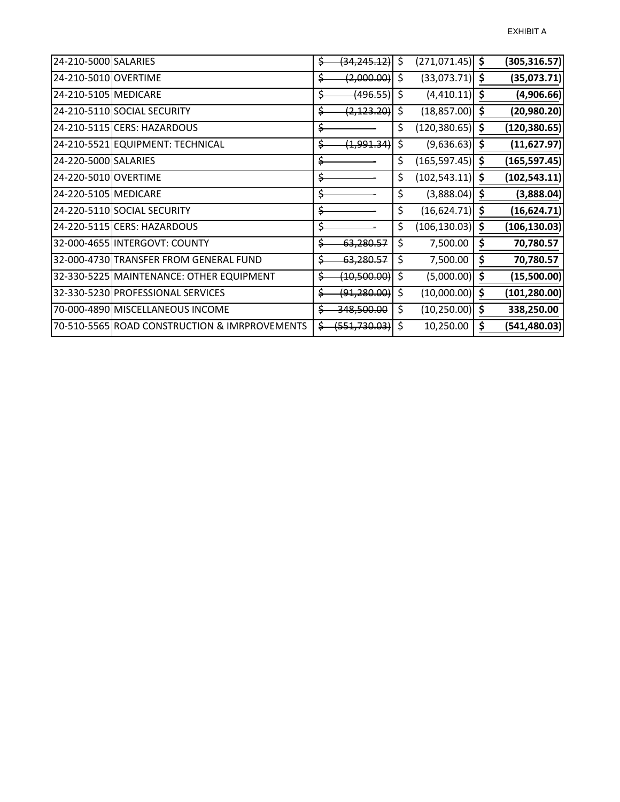| 24-210-5000 SALARIES |                                               | \$ | (34, 245.12)                | -\$ | $(271,071.45)$ \$ |                     | (305, 316.57) |
|----------------------|-----------------------------------------------|----|-----------------------------|-----|-------------------|---------------------|---------------|
| 24-210-5010 OVERTIME |                                               | Ş. | (2,000.00)                  | \$  | $(33,073.71)$ \$  |                     | (35,073.71)   |
| 24-210-5105 MEDICARE |                                               | \$ | (496.55)                    | \$  | (4,410.11)        | $\ddot{\bm{\zeta}}$ | (4,906.66)    |
|                      | 24-210-5110 SOCIAL SECURITY                   | \$ | (2, 123.20)                 | \$  | (18, 857.00)      | \$                  | (20, 980.20)  |
|                      | 24-210-5115 CERS: HAZARDOUS                   | \$ |                             | \$  | (120, 380.65)     | -\$                 | (120, 380.65) |
|                      | 24-210-5521 EQUIPMENT: TECHNICAL              | \$ | (1,991.34)                  | \$  | $(9,636.63)$ \$   |                     | (11,627.97)   |
| 24-220-5000 SALARIES |                                               | \$ |                             | \$  | (165, 597.45)     | -\$                 | (165, 597.45) |
| 24-220-5010 OVERTIME |                                               | \$ |                             | \$  | (102, 543.11)     | \$                  | (102, 543.11) |
| 24-220-5105 MEDICARE |                                               | \$ |                             | \$  | (3,888.04)        |                     | (3,888.04)    |
|                      | 24-220-5110 SOCIAL SECURITY                   | \$ |                             | \$  | (16, 624.71)      | -\$                 | (16, 624.71)  |
|                      | 24-220-5115 CERS: HAZARDOUS                   | \$ |                             | \$  | (106, 130.03)     | \$.                 | (106, 130.03) |
|                      | 32-000-4655 INTERGOVT: COUNTY                 | \$ | 63,280.57                   | \$  | 7,500.00          | \$                  | 70,780.57     |
|                      | 32-000-4730 TRANSFER FROM GENERAL FUND        |    | 63,280.57                   | \$  | 7,500.00          | \$                  | 70,780.57     |
|                      | 32-330-5225 MAINTENANCE: OTHER EQUIPMENT      |    | (10,500.00)                 | \$  | (5,000.00)        | \$                  | (15,500.00)   |
|                      | 32-330-5230 PROFESSIONAL SERVICES             | \$ | <del>(91,280.00)</del>   \$ |     | $(10,000.00)$ \$  |                     | (101, 280.00) |
|                      | 70-000-4890 MISCELLANEOUS INCOME              |    | 348,500.00                  | \$  | (10, 250.00)      | $\ddot{\bm{\zeta}}$ | 338,250.00    |
|                      | 70-510-5565 ROAD CONSTRUCTION & IMRPROVEMENTS |    | <del>(551,730.03)</del> \$  |     | 10,250.00         |                     | (541, 480.03) |
|                      |                                               |    |                             |     |                   |                     |               |